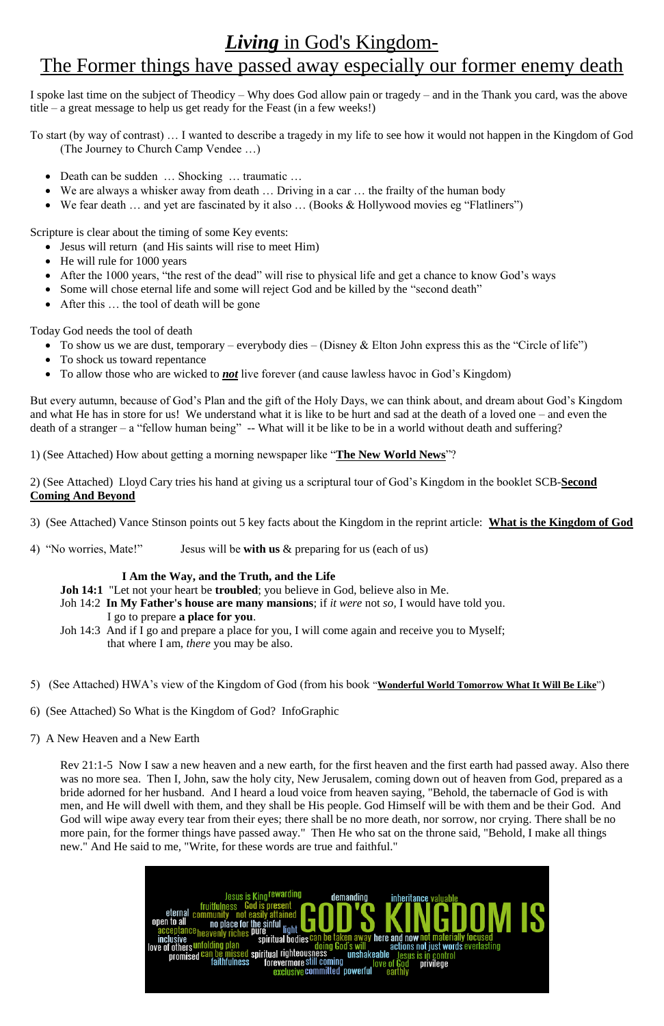# *Living* in God's Kingdom-

## The Former things have passed away especially our former enemy death

I spoke last time on the subject of Theodicy – Why does God allow pain or tragedy – and in the Thank you card, was the above title – a great message to help us get ready for the Feast (in a few weeks!)

- Death can be sudden … Shocking … traumatic …
- We are always a whisker away from death … Driving in a car … the frailty of the human body
- We fear death … and yet are fascinated by it also … (Books & Hollywood movies eg "Flatliners")

To start (by way of contrast) … I wanted to describe a tragedy in my life to see how it would not happen in the Kingdom of God (The Journey to Church Camp Vendee …)

- Jesus will return (and His saints will rise to meet Him)
- He will rule for 1000 years
- After the 1000 years, "the rest of the dead" will rise to physical life and get a chance to know God's ways
- Some will chose eternal life and some will reject God and be killed by the "second death"
- After this ... the tool of death will be gone

- To show us we are dust, temporary everybody dies (Disney & Elton John express this as the "Circle of life")
- To shock us toward repentance
- To allow those who are wicked to *not* live forever (and cause lawless havoc in God's Kingdom)

But every autumn, because of God's Plan and the gift of the Holy Days, we can think about, and dream about God's Kingdom and what He has in store for us! We understand what it is like to be hurt and sad at the death of a loved one – and even the death of a stranger – a "fellow human being" -- What will it be like to be in a world without death and suffering?

Scripture is clear about the timing of some Key events:

Today God needs the tool of death

1) (See Attached) How about getting a morning newspaper like "**The New World News**"?

2) (See Attached) Lloyd Cary tries his hand at giving us a scriptural tour of God's Kingdom in the booklet SCB-**Second Coming And Beyond**

3) (See Attached) Vance Stinson points out 5 key facts about the Kingdom in the reprint article: **What is the Kingdom of God**

4) "No worries, Mate!" Jesus will be **with us** & preparing for us (each of us)

## **I Am the Way, and the Truth, and the Life**

- **Joh 14:1** "Let not your heart be **troubled**; you believe in God, believe also in Me.
- Joh 14:2 **In My Father's house are many mansions**; if *it were* not *so,* I would have told you. I go to prepare **a place for you**.
- Joh 14:3 And if I go and prepare a place for you, I will come again and receive you to Myself; that where I am, *there* you may be also.

5) (See Attached) HWA's view of the Kingdom of God (from his book "**Wonderful World Tomorrow What It Will Be Like**")

- 6) (See Attached) So What is the Kingdom of God? InfoGraphic
- 7) A New Heaven and a New Earth

Rev 21:1-5 Now I saw a new heaven and a new earth, for the first heaven and the first earth had passed away. Also there was no more sea. Then I, John, saw the holy city, New Jerusalem, coming down out of heaven from God, prepared as a bride adorned for her husband. And I heard a loud voice from heaven saying, "Behold, the tabernacle of God is with men, and He will dwell with them, and they shall be His people. God Himself will be with them and be their God. And God will wipe away every tear from their eyes; there shall be no more death, nor sorrow, nor crying. There shall be no more pain, for the former things have passed away." Then He who sat on the throne said, "Behold, I make all things new." And He said to me, "Write, for these words are true and faithful."

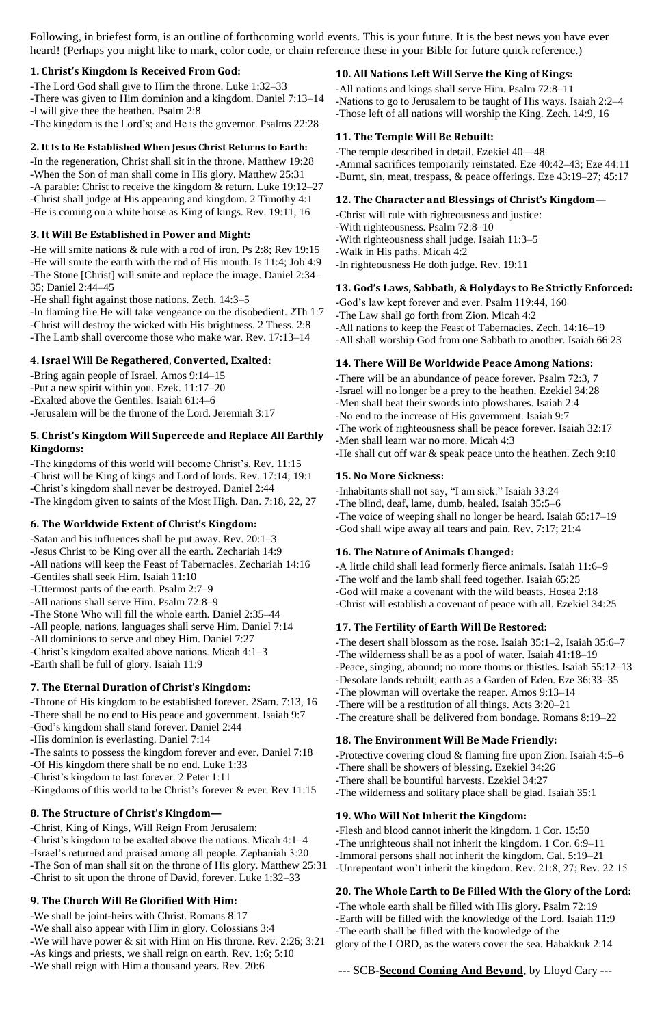Following, in briefest form, is an outline of forthcoming world events. This is your future. It is the best news you have ever heard! (Perhaps you might like to mark, color code, or chain reference these in your Bible for future quick reference.)

### **1. Christ's Kingdom Is Received From God:**

-The Lord God shall give to Him the throne. Luke 1:32–33 -There was given to Him dominion and a kingdom. Daniel 7:13–14 -I will give thee the heathen. Psalm 2:8 -The kingdom is the Lord's; and He is the governor. Psalms 22:28

#### **2. It Is to Be Established When Jesus Christ Returns to Earth:**

-In the regeneration, Christ shall sit in the throne. Matthew 19:28 -When the Son of man shall come in His glory. Matthew 25:31 -A parable: Christ to receive the kingdom & return. Luke 19:12–27 -Christ shall judge at His appearing and kingdom. 2 Timothy 4:1 -He is coming on a white horse as King of kings. Rev. 19:11, 16

### **3. It Will Be Established in Power and Might:**

-He will smite nations & rule with a rod of iron. Ps 2:8; Rev 19:15 -He will smite the earth with the rod of His mouth. Is 11:4; Job 4:9 -The Stone [Christ] will smite and replace the image. Daniel 2:34– 35; Daniel 2:44–45

-He shall fight against those nations. Zech. 14:3–5

-In flaming fire He will take vengeance on the disobedient. 2Th 1:7 -Christ will destroy the wicked with His brightness. 2 Thess. 2:8 -The Lamb shall overcome those who make war. Rev. 17:13–14

### **4. Israel Will Be Regathered, Converted, Exalted:**

-Bring again people of Israel. Amos 9:14–15

-Put a new spirit within you. Ezek. 11:17–20

-Exalted above the Gentiles. Isaiah 61:4–6

-Jerusalem will be the throne of the Lord. Jeremiah 3:17

#### **5. Christ's Kingdom Will Supercede and Replace All Earthly Kingdoms:**

-The kingdoms of this world will become Christ's. Rev. 11:15 -Christ will be King of kings and Lord of lords. Rev. 17:14; 19:1 -Christ's kingdom shall never be destroyed. Daniel 2:44 -The kingdom given to saints of the Most High. Dan. 7:18, 22, 27

## **6. The Worldwide Extent of Christ's Kingdom:**

-Satan and his influences shall be put away. Rev. 20:1–3 -Jesus Christ to be King over all the earth. Zechariah 14:9 -All nations will keep the Feast of Tabernacles. Zechariah 14:16 -Gentiles shall seek Him. Isaiah 11:10 -Uttermost parts of the earth. Psalm 2:7–9 -All nations shall serve Him. Psalm 72:8–9 -The Stone Who will fill the whole earth. Daniel 2:35–44 -All people, nations, languages shall serve Him. Daniel 7:14 -All dominions to serve and obey Him. Daniel 7:27 -Christ's kingdom exalted above nations. Micah 4:1–3 -Earth shall be full of glory. Isaiah 11:9

## **7. The Eternal Duration of Christ's Kingdom:**

-Throne of His kingdom to be established forever. 2Sam. 7:13, 16

- -There shall be no end to His peace and government. Isaiah 9:7
- -God's kingdom shall stand forever. Daniel 2:44
- -His dominion is everlasting. Daniel 7:14
- -The saints to possess the kingdom forever and ever. Daniel 7:18

-Of His kingdom there shall be no end. Luke 1:33 -Christ's kingdom to last forever. 2 Peter 1:11

-Kingdoms of this world to be Christ's forever & ever. Rev 11:15

#### **8. The Structure of Christ's Kingdom—**

-Christ, King of Kings, Will Reign From Jerusalem: -Christ's kingdom to be exalted above the nations. Micah 4:1–4 -Israel's returned and praised among all people. Zephaniah 3:20 -The Son of man shall sit on the throne of His glory. Matthew 25:31 -Christ to sit upon the throne of David, forever. Luke 1:32–33

## **9. The Church Will Be Glorified With Him:**

-We shall be joint-heirs with Christ. Romans 8:17 -We shall also appear with Him in glory. Colossians 3:4 -We will have power & sit with Him on His throne. Rev. 2:26; 3:21 -As kings and priests, we shall reign on earth. Rev. 1:6; 5:10 -We shall reign with Him a thousand years. Rev. 20:6

### **10. All Nations Left Will Serve the King of Kings:**

-All nations and kings shall serve Him. Psalm 72:8–11 -Nations to go to Jerusalem to be taught of His ways. Isaiah 2:2–4 -Those left of all nations will worship the King. Zech. 14:9, 16

## **11. The Temple Will Be Rebuilt:**

-The temple described in detail. Ezekiel 40—48 -Animal sacrifices temporarily reinstated. Eze 40:42–43; Eze 44:11 -Burnt, sin, meat, trespass, & peace offerings. Eze 43:19–27; 45:17

### **12. The Character and Blessings of Christ's Kingdom—**

-Christ will rule with righteousness and justice: -With righteousness. Psalm 72:8–10 -With righteousness shall judge. Isaiah 11:3–5 -Walk in His paths. Micah 4:2 -In righteousness He doth judge. Rev. 19:11

### **13. God's Laws, Sabbath, & Holydays to Be Strictly Enforced:**

-God's law kept forever and ever. Psalm 119:44, 160 -The Law shall go forth from Zion. Micah 4:2 -All nations to keep the Feast of Tabernacles. Zech. 14:16–19

-All shall worship God from one Sabbath to another. Isaiah 66:23

### **14. There Will Be Worldwide Peace Among Nations:**

-There will be an abundance of peace forever. Psalm 72:3, 7 -Israel will no longer be a prey to the heathen. Ezekiel 34:28 -Men shall beat their swords into plowshares. Isaiah 2:4 -No end to the increase of His government. Isaiah 9:7 -The work of righteousness shall be peace forever. Isaiah 32:17 -Men shall learn war no more. Micah 4:3 -He shall cut off war & speak peace unto the heathen. Zech 9:10

#### **15. No More Sickness:**

-Inhabitants shall not say, "I am sick." Isaiah 33:24 -The blind, deaf, lame, dumb, healed. Isaiah 35:5–6 -The voice of weeping shall no longer be heard. Isaiah 65:17–19 -God shall wipe away all tears and pain. Rev. 7:17; 21:4

#### **16. The Nature of Animals Changed:**

-A little child shall lead formerly fierce animals. Isaiah 11:6–9 -The wolf and the lamb shall feed together. Isaiah 65:25 -God will make a covenant with the wild beasts. Hosea 2:18 -Christ will establish a covenant of peace with all. Ezekiel 34:25

#### **17. The Fertility of Earth Will Be Restored:**

- -The desert shall blossom as the rose. Isaiah 35:1–2, Isaiah 35:6–7
- -The wilderness shall be as a pool of water. Isaiah 41:18–19
- -Peace, singing, abound; no more thorns or thistles. Isaiah 55:12–13
- -Desolate lands rebuilt; earth as a Garden of Eden. Eze 36:33–35
- -The plowman will overtake the reaper. Amos 9:13–14
- -There will be a restitution of all things. Acts 3:20–21
- -The creature shall be delivered from bondage. Romans 8:19–22

#### **18. The Environment Will Be Made Friendly:**

-Protective covering cloud & flaming fire upon Zion. Isaiah 4:5–6 -There shall be showers of blessing. Ezekiel 34:26

-There shall be bountiful harvests. Ezekiel 34:27

-The wilderness and solitary place shall be glad. Isaiah 35:1

#### **19. Who Will Not Inherit the Kingdom:**

-Flesh and blood cannot inherit the kingdom. 1 Cor. 15:50 -The unrighteous shall not inherit the kingdom. 1 Cor. 6:9–11 -Immoral persons shall not inherit the kingdom. Gal. 5:19–21 -Unrepentant won't inherit the kingdom. Rev. 21:8, 27; Rev. 22:15

#### **20. The Whole Earth to Be Filled With the Glory of the Lord:**

-The whole earth shall be filled with His glory. Psalm 72:19 -Earth will be filled with the knowledge of the Lord. Isaiah 11:9 -The earth shall be filled with the knowledge of the glory of the LORD, as the waters cover the sea. Habakkuk 2:14

## --- SCB-**Second Coming And Beyond**, by Lloyd Cary ---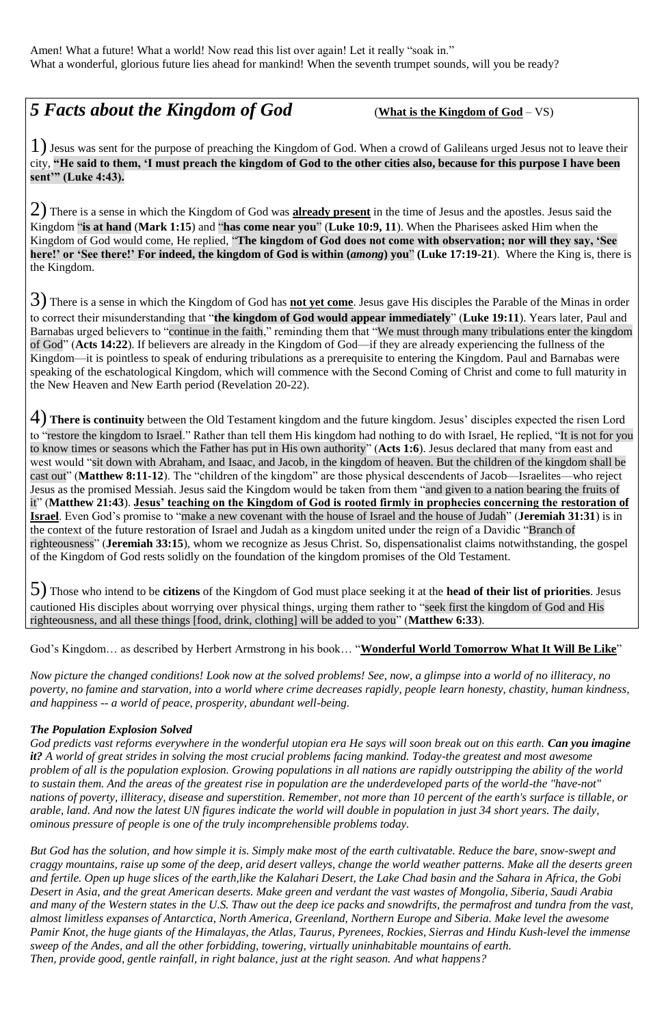Amen! What a future! What a world! Now read this list over again! Let it really "soak in." What a wonderful, glorious future lies ahead for mankind! When the seventh trumpet sounds, will you be ready?

## *5 Facts about the Kingdom of God* (**What is the Kingdom of God** – VS)

1) Jesus was sent for the purpose of preaching the Kingdom of God. When a crowd of Galileans urged Jesus not to leave their city, **"He said to them, 'I must preach the kingdom of God to the other cities also, because for this purpose I have been sent'" (Luke 4:43).**

2) There is a sense in which the Kingdom of God was **already present** in the time of Jesus and the apostles. Jesus said the Kingdom "**is at hand** (**Mark 1:15**) and "**has come near you**" (**Luke 10:9, 11**). When the Pharisees asked Him when the Kingdom of God would come, He replied, "**The kingdom of God does not come with observation; nor will they say, 'See here!' or 'See there!' For indeed, the kingdom of God is within (***among***) you**" **(Luke 17:19-21**). Where the King is, there is the Kingdom.

3) There is a sense in which the Kingdom of God has **not yet come**. Jesus gave His disciples the Parable of the Minas in order to correct their misunderstanding that "**the kingdom of God would appear immediately**" (**Luke 19:11**). Years later, Paul and Barnabas urged believers to "continue in the faith," reminding them that "We must through many tribulations enter the kingdom of God" (**Acts 14:22**). If believers are already in the Kingdom of God—if they are already experiencing the fullness of the Kingdom—it is pointless to speak of enduring tribulations as a prerequisite to entering the Kingdom. Paul and Barnabas were speaking of the eschatological Kingdom, which will commence with the Second Coming of Christ and come to full maturity in the New Heaven and New Earth period (Revelation 20-22).

4) **There is continuity** between the Old Testament kingdom and the future kingdom. Jesus' disciples expected the risen Lord to "restore the kingdom to Israel." Rather than tell them His kingdom had nothing to do with Israel, He replied, "It is not for you to know times or seasons which the Father has put in His own authority" (**Acts 1:6**). Jesus declared that many from east and west would "sit down with Abraham, and Isaac, and Jacob, in the kingdom of heaven. But the children of the kingdom shall be cast out" (**Matthew 8:11-12**). The "children of the kingdom" are those physical descendents of Jacob—Israelites—who reject Jesus as the promised Messiah. Jesus said the Kingdom would be taken from them "and given to a nation bearing the fruits of it" (**Matthew 21:43**). **Jesus' teaching on the Kingdom of God is rooted firmly in prophecies concerning the restoration of Israel**. Even God's promise to "make a new covenant with the house of Israel and the house of Judah" (**Jeremiah 31:31**) is in the context of the future restoration of Israel and Judah as a kingdom united under the reign of a Davidic "Branch of righteousness" (**Jeremiah 33:15**), whom we recognize as Jesus Christ. So, dispensationalist claims notwithstanding, the gospel of the Kingdom of God rests solidly on the foundation of the kingdom promises of the Old Testament.

5) Those who intend to be **citizens** of the Kingdom of God must place seeking it at the **head of their list of priorities**. Jesus cautioned His disciples about worrying over physical things, urging them rather to "seek first the kingdom of God and His righteousness, and all these things [food, drink, clothing] will be added to you" (**Matthew 6:33**).

God's Kingdom… as described by Herbert Armstrong in his book… "**Wonderful World Tomorrow What It Will Be Like**"

*Now picture the changed conditions! Look now at the solved problems! See, now, a glimpse into a world of no illiteracy, no poverty, no famine and starvation, into a world where crime decreases rapidly, people learn honesty, chastity, human kindness, and happiness -- a world of peace, prosperity, abundant well-being.*

## *The Population Explosion Solved*

*God predicts vast reforms everywhere in the wonderful utopian era He says will soon break out on this earth. Can you imagine it? A world of great strides in solving the most crucial problems facing mankind. Today-the greatest and most awesome problem of all is the population explosion. Growing populations in all nations are rapidly outstripping the ability of the world to sustain them. And the areas of the greatest rise in population are the underdeveloped parts of the world-the "have-not" nations of poverty, illiteracy, disease and superstition. Remember, not more than 10 percent of the earth's surface is tillable, or arable, land. And now the latest UN figures indicate the world will double in population in just 34 short years. The daily, ominous pressure of people is one of the truly incomprehensible problems today.*

*But God has the solution, and how simple it is. Simply make most of the earth cultivatable. Reduce the bare, snow-swept and craggy mountains, raise up some of the deep, arid desert valleys, change the world weather patterns. Make all the deserts green and fertile. Open up huge slices of the earth,like the Kalahari Desert, the Lake Chad basin and the Sahara in Africa, the Gobi Desert in Asia, and the great American deserts. Make green and verdant the vast wastes of Mongolia, Siberia, Saudi Arabia and many of the Western states in the U.S. Thaw out the deep ice packs and snowdrifts, the permafrost and tundra from the vast, almost limitless expanses of Antarctica, North America, Greenland, Northern Europe and Siberia. Make level the awesome Pamir Knot, the huge giants of the Himalayas, the Atlas, Taurus, Pyrenees, Rockies, Sierras and Hindu Kush-level the immense sweep of the Andes, and all the other forbidding, towering, virtually uninhabitable mountains of earth. Then, provide good, gentle rainfall, in right balance, just at the right season. And what happens?*